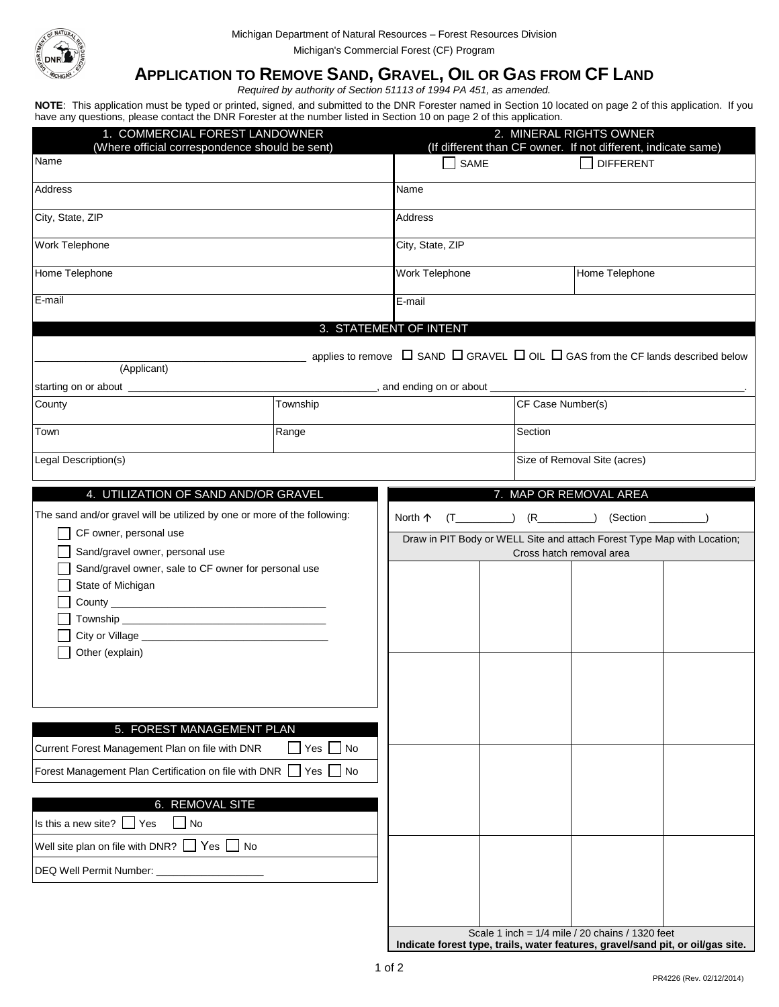

## **APPLICATION TO REMOVE SAND, GRAVEL, OIL OR GAS FROM CF LAND**

*Required by authority of Section 51113 of 1994 PA 451, as amended.*

**NOTE**: This application must be typed or printed, signed, and submitted to the DNR Forester named in Section 10 located on page 2 of this application. If you have any questions, please contact the DNR Forester at the number listed in Section 10 on page 2 of this application.

| 1. COMMERCIAL FOREST LANDOWNER<br>(Where official correspondence should be sent)                                                                                                                                                                                                                                                            |          | 2. MINERAL RIGHTS OWNER<br>(If different than CF owner. If not different, indicate same)                                                                                     |                              |                                                                                                                                                                                                                                         |  |  |
|---------------------------------------------------------------------------------------------------------------------------------------------------------------------------------------------------------------------------------------------------------------------------------------------------------------------------------------------|----------|------------------------------------------------------------------------------------------------------------------------------------------------------------------------------|------------------------------|-----------------------------------------------------------------------------------------------------------------------------------------------------------------------------------------------------------------------------------------|--|--|
| Name                                                                                                                                                                                                                                                                                                                                        |          | $\Box$ SAME                                                                                                                                                                  |                              | <b>DIFFERENT</b>                                                                                                                                                                                                                        |  |  |
| Address                                                                                                                                                                                                                                                                                                                                     |          | Name                                                                                                                                                                         |                              |                                                                                                                                                                                                                                         |  |  |
| City, State, ZIP                                                                                                                                                                                                                                                                                                                            |          | Address                                                                                                                                                                      |                              |                                                                                                                                                                                                                                         |  |  |
| Work Telephone                                                                                                                                                                                                                                                                                                                              |          | City, State, ZIP                                                                                                                                                             |                              |                                                                                                                                                                                                                                         |  |  |
| Home Telephone                                                                                                                                                                                                                                                                                                                              |          | Work Telephone                                                                                                                                                               |                              | Home Telephone                                                                                                                                                                                                                          |  |  |
| E-mail                                                                                                                                                                                                                                                                                                                                      |          | E-mail                                                                                                                                                                       |                              |                                                                                                                                                                                                                                         |  |  |
|                                                                                                                                                                                                                                                                                                                                             |          | 3. STATEMENT OF INTENT                                                                                                                                                       |                              |                                                                                                                                                                                                                                         |  |  |
| (Applicant)<br>starting on or about ________________                                                                                                                                                                                                                                                                                        |          | applies to remove $\Box$ SAND $\Box$ GRAVEL $\Box$ OIL $\Box$ GAS from the CF lands described below<br>contract and ending on or about <u>example</u> and ending on or about |                              |                                                                                                                                                                                                                                         |  |  |
| County                                                                                                                                                                                                                                                                                                                                      | Township |                                                                                                                                                                              |                              | CF Case Number(s)                                                                                                                                                                                                                       |  |  |
| Range<br>Town                                                                                                                                                                                                                                                                                                                               |          |                                                                                                                                                                              | Section                      |                                                                                                                                                                                                                                         |  |  |
| Legal Description(s)                                                                                                                                                                                                                                                                                                                        |          |                                                                                                                                                                              | Size of Removal Site (acres) |                                                                                                                                                                                                                                         |  |  |
| 4. UTILIZATION OF SAND AND/OR GRAVEL                                                                                                                                                                                                                                                                                                        |          |                                                                                                                                                                              |                              | 7. MAP OR REMOVAL AREA                                                                                                                                                                                                                  |  |  |
| The sand and/or gravel will be utilized by one or more of the following:<br>CF owner, personal use<br>Sand/gravel owner, personal use<br>Sand/gravel owner, sale to CF owner for personal use<br>State of Michigan<br>Other (explain)                                                                                                       |          | North 个<br>Draw in PIT Body or WELL Site and attach Forest Type Map with Location;                                                                                           | Cross hatch removal area     | $(T$ <sub>(T</sub> (R (R (Section (I) (R (Section (I) (Section (I) (Section (I) (Section (I) (Section (I) (Section (I) (Section (I) (Section (I) (Section (I) (Section (I) (Section (I) (Section (I) (Section (I) (Section (I) (Section |  |  |
| 5. FOREST MANAGEMENT PLAN<br>$\Box$ Yes $\Box$ No<br>Current Forest Management Plan on file with DNR<br>Forest Management Plan Certification on file with DNR<br>$\Box$ Yes $\Box$ No<br>6. REMOVAL SITE<br>Is this a new site? $\Box$ Yes<br>$\Box$ No<br>Well site plan on file with DNR? $\Box$ Yes $\Box$ No<br>DEQ Well Permit Number: |          |                                                                                                                                                                              |                              |                                                                                                                                                                                                                                         |  |  |
|                                                                                                                                                                                                                                                                                                                                             |          |                                                                                                                                                                              |                              |                                                                                                                                                                                                                                         |  |  |

Scale 1 inch = 1/4 mile / 20 chains / 1320 feet **Indicate forest type, trails, water features, gravel/sand pit, or oil/gas site.**